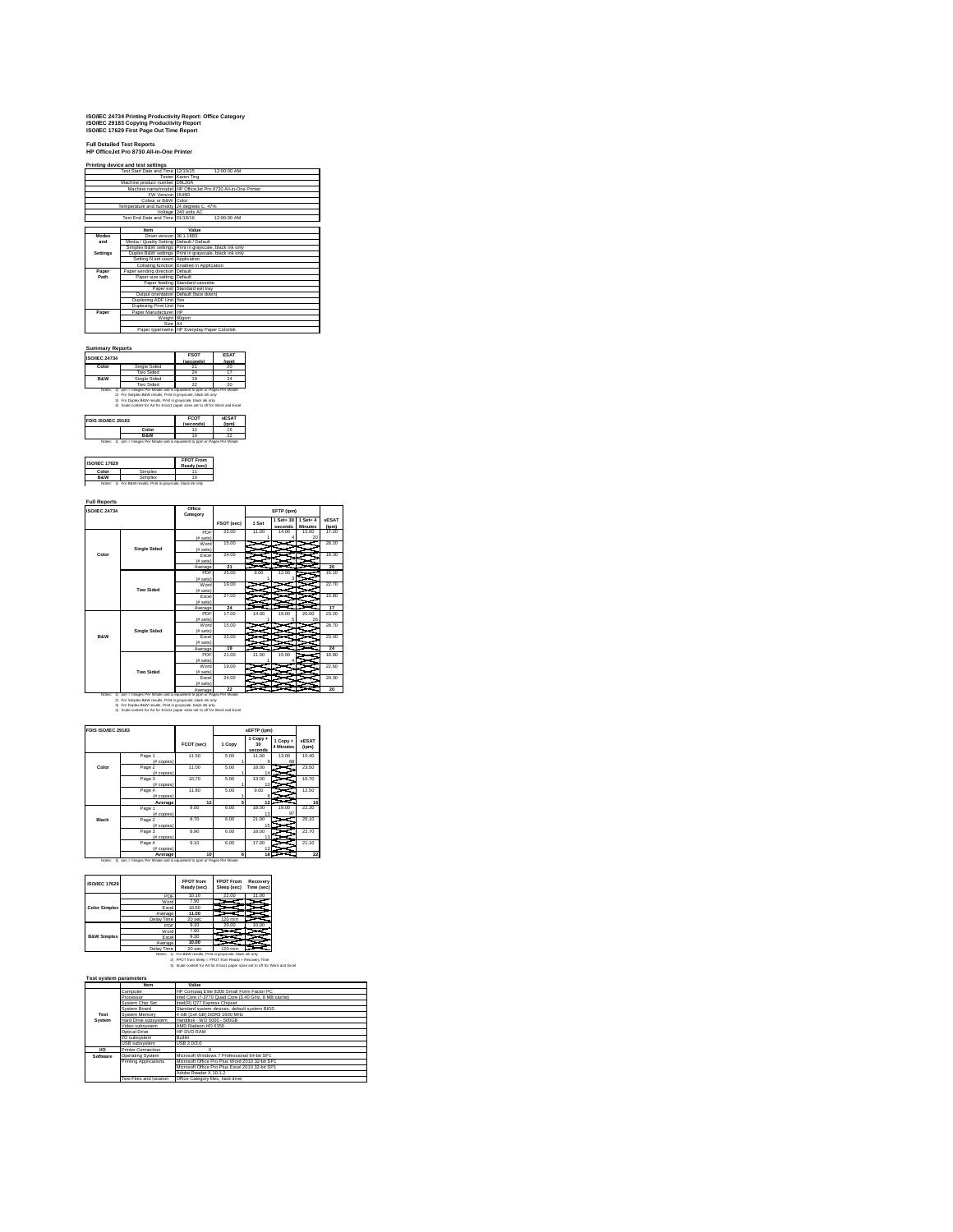## **ISO/IEC 24734 Printing Productivity Report: Office Category ISO/IEC 29183 Copying Productivity Report ISO/IEC 17629 First Page Out Time Report**

### **Full Detailed Test Reports HP OfficeJet Pro 8730 All-in-One Printer**

**Printing device and test settings**

| Test Start Date and Time 12/10/15 | 12:00:00 AM                                                                                                                                                                                                                                                                                                                                                                                                                                                                                       |  |  |
|-----------------------------------|---------------------------------------------------------------------------------------------------------------------------------------------------------------------------------------------------------------------------------------------------------------------------------------------------------------------------------------------------------------------------------------------------------------------------------------------------------------------------------------------------|--|--|
|                                   | Tester Karen Ting                                                                                                                                                                                                                                                                                                                                                                                                                                                                                 |  |  |
|                                   |                                                                                                                                                                                                                                                                                                                                                                                                                                                                                                   |  |  |
|                                   | Machine name/model HP OfficeJet Pro 8730 All-in-One Printer                                                                                                                                                                                                                                                                                                                                                                                                                                       |  |  |
|                                   |                                                                                                                                                                                                                                                                                                                                                                                                                                                                                                   |  |  |
|                                   |                                                                                                                                                                                                                                                                                                                                                                                                                                                                                                   |  |  |
|                                   |                                                                                                                                                                                                                                                                                                                                                                                                                                                                                                   |  |  |
|                                   | Voltage 240 volts AC                                                                                                                                                                                                                                                                                                                                                                                                                                                                              |  |  |
|                                   | 12:00:00 AM                                                                                                                                                                                                                                                                                                                                                                                                                                                                                       |  |  |
|                                   |                                                                                                                                                                                                                                                                                                                                                                                                                                                                                                   |  |  |
| <b>Item</b>                       | Value                                                                                                                                                                                                                                                                                                                                                                                                                                                                                             |  |  |
|                                   |                                                                                                                                                                                                                                                                                                                                                                                                                                                                                                   |  |  |
|                                   |                                                                                                                                                                                                                                                                                                                                                                                                                                                                                                   |  |  |
|                                   | Simplex B&W settings Print in gravscale, black ink only                                                                                                                                                                                                                                                                                                                                                                                                                                           |  |  |
|                                   | Duplex B&W settings Print in grayscale, black ink only                                                                                                                                                                                                                                                                                                                                                                                                                                            |  |  |
|                                   |                                                                                                                                                                                                                                                                                                                                                                                                                                                                                                   |  |  |
|                                   | Collating function Enabled in Application                                                                                                                                                                                                                                                                                                                                                                                                                                                         |  |  |
|                                   |                                                                                                                                                                                                                                                                                                                                                                                                                                                                                                   |  |  |
|                                   |                                                                                                                                                                                                                                                                                                                                                                                                                                                                                                   |  |  |
|                                   | Paper feeding Standard cassette                                                                                                                                                                                                                                                                                                                                                                                                                                                                   |  |  |
|                                   | Paper exit Standard exit trav                                                                                                                                                                                                                                                                                                                                                                                                                                                                     |  |  |
|                                   |                                                                                                                                                                                                                                                                                                                                                                                                                                                                                                   |  |  |
|                                   |                                                                                                                                                                                                                                                                                                                                                                                                                                                                                                   |  |  |
|                                   |                                                                                                                                                                                                                                                                                                                                                                                                                                                                                                   |  |  |
|                                   |                                                                                                                                                                                                                                                                                                                                                                                                                                                                                                   |  |  |
|                                   |                                                                                                                                                                                                                                                                                                                                                                                                                                                                                                   |  |  |
|                                   |                                                                                                                                                                                                                                                                                                                                                                                                                                                                                                   |  |  |
|                                   | Paper type/name HP Everyday Paper Colorlok                                                                                                                                                                                                                                                                                                                                                                                                                                                        |  |  |
|                                   | Machine product number D9L20A<br>FW Version 1549D<br>Colour or B&W Color<br>Temperature and humidity 24 degrees C. 47%<br>Test End Date and Time 01/18/16<br>Driver version 38.1.1883<br>Media / Quality Setting Default / Default<br>Setting N set count Application<br>Paper sending direction Default<br>Paper size setting Default<br>Output orientation Default (face down)<br>Duplexing ADF Unit Yes<br><b>Duplexing Print Unit Yes</b><br>Paper Manufacturer HP<br>Weight 80gsm<br>Size A4 |  |  |

| <b>ISO/IEC 24734</b> |                  | <b>FSOT</b><br>(seconds) | <b>ESAT</b><br>(ipm) |
|----------------------|------------------|--------------------------|----------------------|
| Color                | Single Sided     | $^{2}$                   | 20                   |
|                      | Two Sided        | 24                       | t.                   |
| <b>R&amp;W</b>       | Single Sided     | 19                       |                      |
|                      | <b>Two Sided</b> | 22                       | 20                   |

Nosse: 1) (pm = Images Per Minute and is equivalent 22<br>Persent of Papes Per Minute and is equivalent to ppm or Papes Per Minute<br>2) For Simplex B&W results, Print in grayscale, black ink only<br>3) For Duplex B&W results, Prin

|                | (senconds) | <b>sESAT</b><br>(inm) |
|----------------|------------|-----------------------|
| Color          |            | 16                    |
| <b>R&amp;W</b> |            |                       |

| <b>ISO/IEC 17629</b> |                                                               | <b>FPOT From</b><br>Ready (sec) |
|----------------------|---------------------------------------------------------------|---------------------------------|
| Color                | Simplex                                                       |                                 |
| <b>R&amp;W</b>       | Simplex                                                       | 10                              |
|                      | Notes: 1) For B&W results. Print in gravscale, black ink only |                                 |

| <b>ISO/IFC 24734</b> |                     | Office<br>Category    |            | EFTP (ipm) |                      |                                 |                       |
|----------------------|---------------------|-----------------------|------------|------------|----------------------|---------------------------------|-----------------------|
|                      |                     |                       | FSOT (sec) | 1 Set      | 1 Set+ 30<br>seconds | $1$ Set $+$ 4<br><b>Minutes</b> | <b>sESAT</b><br>(ipm) |
|                      |                     | PDF                   | 22.00      | 11.00      | 14.00                | 15.00                           | 17.20                 |
|                      |                     | (f# sets)             |            |            |                      | 20                              |                       |
|                      |                     | Word                  | 15.00      |            |                      |                                 | 28.20                 |
|                      | <b>Single Sided</b> | (f# sets)             |            |            |                      |                                 |                       |
| Color                |                     | Excel                 | 24.00      |            |                      |                                 | 18.30                 |
|                      |                     | (f# sets)             |            |            |                      |                                 |                       |
|                      |                     | Average               | 21         |            |                      |                                 | 20                    |
|                      |                     | PDF                   | 25.00      | 9.00       | 12.00                |                                 | 15.10                 |
|                      |                     | (f# sets)             |            |            | з                    |                                 |                       |
|                      |                     | Word                  | 19.00      |            |                      |                                 | 22.70                 |
|                      | Two Sided           | (f# sets)             |            |            |                      |                                 |                       |
|                      |                     | Excel                 | 27.00      |            |                      |                                 | 15,80                 |
|                      |                     | $(fE)$ sets)          |            |            |                      |                                 |                       |
|                      |                     | Average               | 24         |            |                      |                                 | 17                    |
|                      |                     | PDF                   | 17.00      | 14.00      | 19.00                | 20.00                           | 23.20                 |
|                      |                     | (E <sub>1</sub> sets) |            |            | 6                    | 26                              |                       |
|                      |                     | Word                  | 15.00      |            |                      |                                 | 28.70                 |
|                      | <b>Single Sided</b> | (f# sets)             |            |            |                      |                                 |                       |
| <b>R&amp;W</b>       |                     | Excel                 | 22.00      |            |                      |                                 | 23.40                 |
|                      |                     | (f# sets)             |            |            |                      |                                 |                       |
|                      |                     | Average               | 19         |            |                      |                                 | 24                    |
|                      |                     | PDF                   | 21.00      | 11.00      | 15.00                |                                 | 18.80                 |
|                      |                     | (f# sets)             |            |            |                      |                                 |                       |
|                      |                     | Word                  | 19.00      |            |                      |                                 | 22.60                 |
|                      | <b>Two Sided</b>    | (f# sets)             |            |            |                      |                                 |                       |
|                      |                     | Excel                 | 24.00      |            |                      |                                 | 20.30                 |
|                      |                     | (E <sub>1</sub> sets) |            |            |                      |                                 |                       |
|                      |                     | Average               | 22         |            |                      |                                 | 20                    |

Note: 1) prin timages Por Minute and is equivalent to parts of the San England of Mark Control and the San England of Mark Control and the San England of Mark Control and San England of Mark Control and San England of Mar

| FDIS ISO/IEC 29183 |                                     |            |        | sEFTP (ipm)               |                       |                       |
|--------------------|-------------------------------------|------------|--------|---------------------------|-----------------------|-----------------------|
|                    |                                     | FCOT (sec) | 1 Copy | 1 Copy +<br>30<br>seconds | 1 Copy +<br>4 Minutes | <b>sESAT</b><br>(ipm) |
|                    | Page 1                              | 11.50      | 5.00   | 11.00<br>۵                | 13.00<br>68           | 15.40                 |
| Color              | (# copies)<br>Page 2<br>(f# copies) | 11.00      | 5.00   | 18.00<br>14               |                       | 23.50                 |
|                    | Page 3<br>(f# copies)               | 10.70      | 5.00   | 13.00<br>10               |                       | 16.70                 |
|                    | Page 4<br>(f# copies)               | 11.80      | 5.00   | 9.00                      |                       | 12.50                 |
|                    | Average                             | 12         | 5      | 12                        |                       | 16                    |
|                    | Page 1<br>(# copies)                | 9.00       | 6.00   | 18.00<br>13               | 19.00<br>97           | 22.30                 |
| Black              | Page 2<br>(f# copies)               | 8.70       | 6.00   | 21.00<br>15               |                       | 26.10                 |
|                    | Page 3<br>(# copies)                | 8.90       | 6.00   | 18.00<br>13               |                       | 22.70                 |
|                    | Page 4<br>(f# copies)               | 9.10       | 6.00   | 17.00<br>13               |                       | 21.10                 |
|                    | Average                             | 10         | ĸ.     | 18                        |                       | 22                    |

| <b>ISO/IEC 17629</b>   |            | <b>FPOT</b> from<br>Ready (sec) | <b>FPOT From</b><br>Sleep (sec) | Recovery<br>Time (sec) |
|------------------------|------------|---------------------------------|---------------------------------|------------------------|
|                        | PDF        | 10.10                           | 22.00                           | 11.00                  |
| <b>Color Simplex</b>   | Word       | 7.90                            |                                 |                        |
|                        | Excel      | 10.60                           |                                 |                        |
|                        | Average    | 11.00                           |                                 |                        |
|                        | Delay Time | 20 sec                          | 120 min                         |                        |
|                        | PDF        | 9,10                            | 20.00                           | 10.00                  |
| <b>B&amp;W Simplex</b> | Word       | 7.90                            |                                 |                        |
|                        | Excel      | 9.30                            |                                 |                        |
|                        | Average    | 10.00                           |                                 |                        |
|                        | Delay Time | 20 sec                          | $120 \text{ min}$               |                        |

Notes: 1) ipm = Images Per Minute and is equivelent to ppm or Pages Per Minute

 $\mathbf{r}$ 

Delay Time | 20 sec | 120 min<br>Notes: 1) For B&W results, Print in grayscale, black ink only<br>2) FPOT from Sleep = FPOT from Ready + Recovery Time<br>3) Scale content for A4 for 8.5x11 paper sizes set to off for Word and Excel

|            | <b>Item</b>               | Value                                               |
|------------|---------------------------|-----------------------------------------------------|
|            | Computer                  | HP Compag Elite 8300 Small Form Factor PC           |
|            | Processor                 | Intel Core i7-3770 Quad Core (3.40 GHz, 8 MB cache) |
|            | System Chip Set           | Intel(R) Q77 Express Chipset                        |
|            | System Board              | Standard system devices, default system BIOS        |
| Test       | System Memory             | 4 GB (1x4 GB) DDR3 1600 MHz                         |
| System     | Hard Drive subsystem      | Harddisk - WD 5000 - 500GB                          |
|            | Video subsystem           | AMD Radeon HD 6350                                  |
|            | Optical Drive             | HP DVD RAM                                          |
|            | I/O subsystem             | <b>Ruiltin</b>                                      |
|            | <b>USB</b> subsystem      | USB 2.0/3.0                                         |
| <b>I/O</b> | <b>Printer Connection</b> | n                                                   |
| Software   | Operating System          | Microsoft Windows 7 Professional 64-bit SP1         |
|            | Printing Applications     | Microsoft Office Pro Plus Word 2010 32-bit SP1      |
|            |                           | Microsoft Office Pro Plus Excel 2010 32-bit SP1     |
|            |                           | Adobe Reader X 10.1.2                               |
|            | Test Files and location   | Office Category files, hard drive                   |